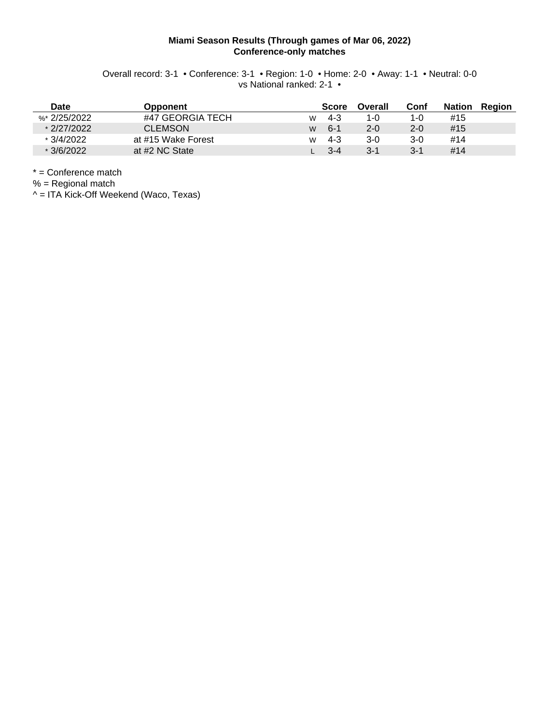### **Miami Season Results (Through games of Mar 06, 2022) Conference-only matches**

Overall record: 3-1 • Conference: 3-1 • Region: 1-0 • Home: 2-0 • Away: 1-1 • Neutral: 0-0 vs National ranked: 2-1 •

| Date           | <b>Opponent</b>    |   | <b>Score</b> | Overall | Conf    | <b>Nation</b> | Region |
|----------------|--------------------|---|--------------|---------|---------|---------------|--------|
| %* $2/25/2022$ | #47 GEORGIA TECH   | W | 4-3          | 1-0     | 1-0     | #15           |        |
| $*2/27/2022$   | <b>CLEMSON</b>     | W | $6 - 1$      | $2 - 0$ | $2 - 0$ | #15           |        |
| * 3/4/2022     | at #15 Wake Forest | W | $4 - 3$      | 3-0     | 3-0     | #14           |        |
| $*3/6/2022$    | at #2 NC State     |   | $3 - 4$      | 3-1     | 3-1     | #14           |        |

\* = Conference match

% = Regional match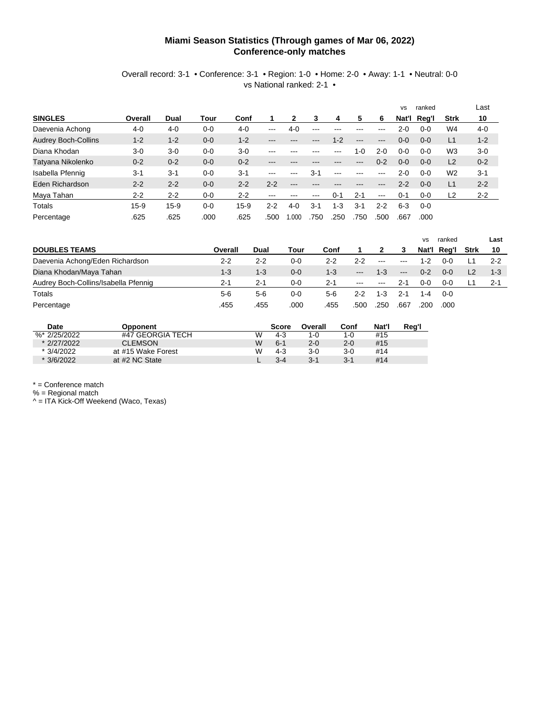#### **Miami Season Statistics (Through games of Mar 06, 2022) Conference-only matches**

#### Overall record: 3-1 • Conference: 3-1 • Region: 1-0 • Home: 2-0 • Away: 1-1 • Neutral: 0-0 vs National ranked: 2-1 •

|                            |         |          |         |         |         |         |         |         |         |          | <b>VS</b> | ranked      |                | Last    |
|----------------------------|---------|----------|---------|---------|---------|---------|---------|---------|---------|----------|-----------|-------------|----------------|---------|
| <b>SINGLES</b>             | Overall | Dual     | Tour    | Conf    |         | 2       | 3       | 4       | 5       | 6        |           | Nat'l Reg'l | Strk           | 10      |
| Daevenia Achong            | 4-0     | $4 - 0$  | $0-0$   | $4 - 0$ | $---$   | $4 - 0$ | $- - -$ |         |         | $- - -$  | 2-0       | $0 - 0$     | W4             | $4 - 0$ |
| <b>Audrey Boch-Collins</b> | $1 - 2$ | $1 - 2$  | $0 - 0$ | $1 - 2$ | $---$   |         |         | $1 - 2$ | $---$   | $---$    | $0 - 0$   | $0 - 0$     | L1             | $1 - 2$ |
| Diana Khodan               | $3-0$   | $3-0$    | $0 - 0$ | $3-0$   | $- - -$ |         |         |         | $1 - 0$ | $2 - 0$  | 0-0       | $0 - 0$     | W <sub>3</sub> | $3-0$   |
| Tatyana Nikolenko          | $0 - 2$ | $0 - 2$  | $0 - 0$ | $0 - 2$ | ---     |         |         |         | ---     | $0 - 2$  | $0 - 0$   | $0 - 0$     | L <sub>2</sub> | $0 - 2$ |
| Isabella Pfennig           | $3 - 1$ | $3 - 1$  | $0 - 0$ | $3 - 1$ | $--$    |         | $3 - 1$ |         |         | $--$     | $2 - 0$   | $0 - 0$     | W <sub>2</sub> | $3 - 1$ |
| Eden Richardson            | $2 - 2$ | $2 - 2$  | $0 - 0$ | $2 - 2$ | $2 - 2$ | $---$   |         |         |         | $- - -$  | $2 - 2$   | $0 - 0$     | L1             | $2 - 2$ |
| Maya Tahan                 | $2 - 2$ | $2 - 2$  | $0 - 0$ | $2 - 2$ | $--$    | $--$    | $--$    | 0-1     | $2 - 1$ | $\cdots$ | 0-1       | $0-0$       | L2             | $2 - 2$ |
| <b>Totals</b>              | $15-9$  | $15 - 9$ | $0 - 0$ | $15-9$  | $2 - 2$ | $4-0$   | $3-1$   | $1 - 3$ | $3 - 1$ | $2 - 2$  | $6 - 3$   | $0 - 0$     |                |         |
| Percentage                 | .625    | .625     | .000    | .625    | .500    | .000    | 750     | .250    | .750    | .500     | .667      | .000        |                |         |

|                                      |         |         |       |         |                      |      |         | <b>VS</b> | ranked      |             | Last    |
|--------------------------------------|---------|---------|-------|---------|----------------------|------|---------|-----------|-------------|-------------|---------|
| <b>DOUBLES TEAMS</b>                 | Overall | Dual    | Tour  | Conf    |                      |      |         |           | Nat'l Reg'l | <b>Strk</b> | 10      |
| Daevenia Achong/Eden Richardson      | $2 - 2$ | $2 - 2$ | 0-0   | $2 - 2$ | 2-2                  | ---  | $--$    | 1-2       | 0-0         |             | $2 - 2$ |
| Diana Khodan/Maya Tahan              | $1 - 3$ | $1 - 3$ | $0-0$ | $1 - 3$ | $---$                | 1-3  | $---$   | $0 - 2$   | $0 - 0$     |             | $1 - 3$ |
| Audrey Boch-Collins/Isabella Pfennig | $2 - 1$ | $2 - 1$ | 0-0   | $2 - 1$ | $\sim$ $\sim$ $\sim$ | ---  | 2-1     | $0 - 0$   | 0-0         |             | $2 - 1$ |
| Totals                               | $5 - 6$ | $5-6$   | 0-0   | 5-6     | 2-2                  | 1-3  | $2 - 1$ | $1 - 4$   | $0 - 0$     |             |         |
| Percentage                           | .455    | .455    | .000  | .455    | 500                  | .250 | .667    | .200      | .000        |             |         |

| Date             | Opponent           |   | <b>Score</b> | Overall | Conf | Nat'l | Rea' |
|------------------|--------------------|---|--------------|---------|------|-------|------|
| $\%$ * 2/25/2022 | #47 GEORGIA TECH   | W | 4-3          | 1-0     | 1-0  | #15   |      |
| * 2/27/2022      | CI FMSON           | w | $6 - 1$      | $2 - 0$ | 2-0  | #15   |      |
| $*3/4/2022$      | at #15 Wake Forest | W | $4 - 3$      | 3-0     | 3-0  | #14   |      |
| $*3/6/2022$      | at #2 NC State     |   | $3 - 4$      | $3 - 1$ | 3-1  | #14   |      |

\* = Conference match

% = Regional match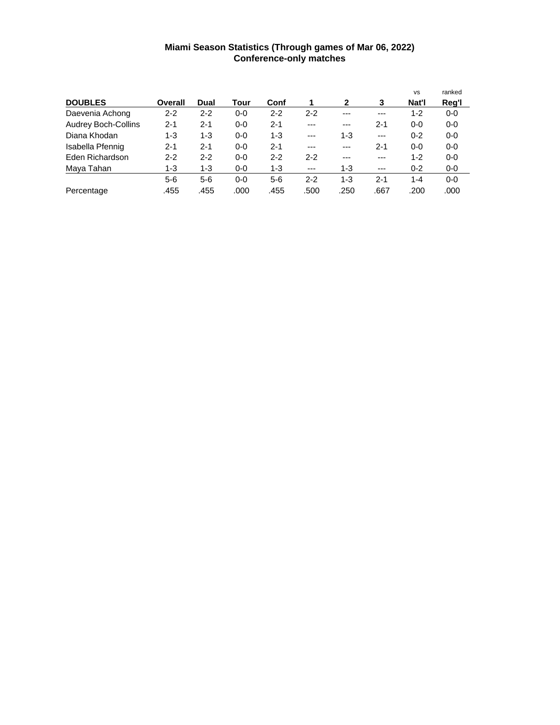### **Miami Season Statistics (Through games of Mar 06, 2022) Conference-only matches**

|                            |         |         |         |         |         |              |         | <b>VS</b> | ranked  |
|----------------------------|---------|---------|---------|---------|---------|--------------|---------|-----------|---------|
| <b>DOUBLES</b>             | Overall | Dual    | Tour    | Conf    | 1       | $\mathbf{2}$ | 3       | Nat'l     | Reg'l   |
| Daevenia Achong            | 2-2     | $2 - 2$ | 0-0     | $2 - 2$ | $2 - 2$ | ---          | ---     | $1 - 2$   | $0-0$   |
| <b>Audrey Boch-Collins</b> | $2 - 1$ | $2 - 1$ | $0 - 0$ | $2 - 1$ | $---$   | $---$        | $2 - 1$ | $0 - 0$   | $0-0$   |
| Diana Khodan               | $1 - 3$ | 1-3     | $0 - 0$ | $1 - 3$ | $---$   | $1 - 3$      | $---$   | $0 - 2$   | $0-0$   |
| Isabella Pfennig           | 2-1     | $2 - 1$ | $0 - 0$ | $2 - 1$ | ---     | $---$        | $2 - 1$ | $0 - 0$   | $0-0$   |
| Eden Richardson            | $2 - 2$ | $2 - 2$ | $0 - 0$ | $2 - 2$ | $2 - 2$ | ---          | ---     | 1-2       | $0 - 0$ |
| Maya Tahan                 | 1-3     | $1 - 3$ | $0-0$   | $1 - 3$ | $---$   | $1 - 3$      | $---$   | $0 - 2$   | $0-0$   |
|                            | $5-6$   | $5-6$   | $0-0$   | $5-6$   | $2 - 2$ | $1 - 3$      | $2 - 1$ | 1-4       | $0-0$   |
| Percentage                 | .455    | .455    | .000    | .455    | .500    | .250         | .667    | .200      | .000    |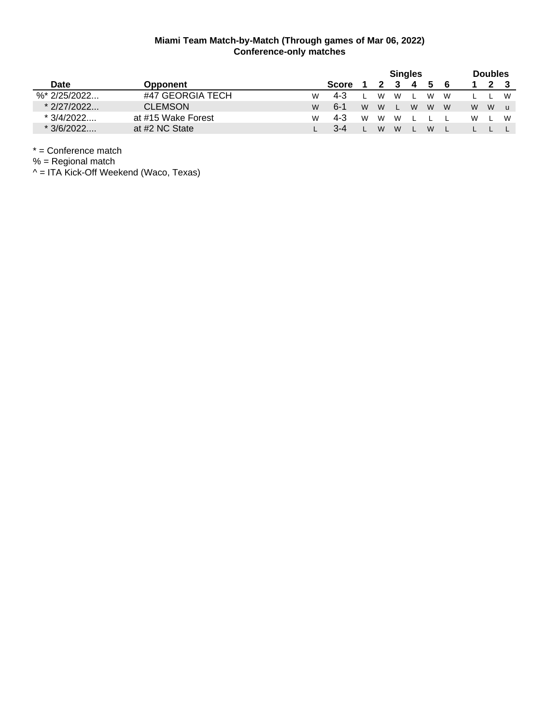|                  |                    |   | <b>Singles</b> |   |   |   |   |    | <b>Doubles</b> |   |   |   |  |
|------------------|--------------------|---|----------------|---|---|---|---|----|----------------|---|---|---|--|
| <b>Date</b>      | Opponent           |   | <b>Score</b>   |   |   |   | 4 | 5. | - 6            |   |   |   |  |
| $\%$ * 2/25/2022 | #47 GEORGIA TECH   | W | $4 - 3$        |   | W | W |   | W  | W              |   |   | W |  |
| $*2/27/2022$     | <b>CLEMSON</b>     | W | $6 - 1$        | W | W |   | W | W  | <b>W</b>       | W | W | u |  |
| * 3/4/2022       | at #15 Wake Forest | W | $4 - 3$        | W | W | W |   |    |                | W |   | W |  |
| $*3/6/2022$      | at #2 NC State     |   | $3 - 4$        |   | W | W |   | W  |                |   |   |   |  |

\* = Conference match

% = Regional match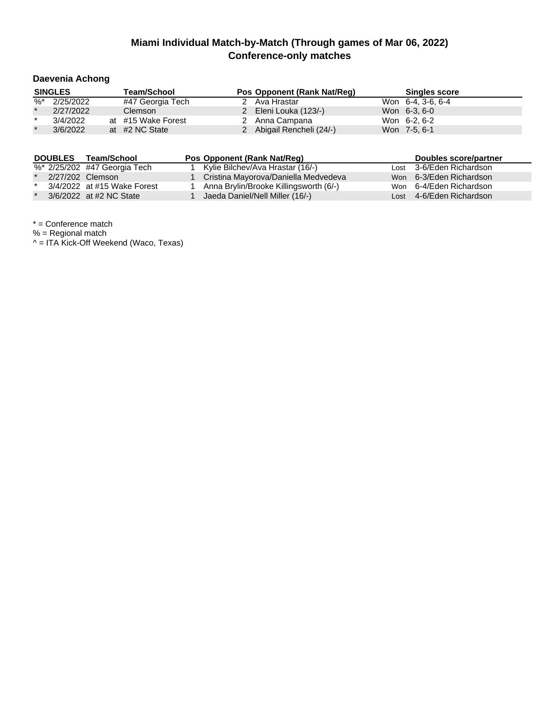## **Daevenia Achong**

|         | <b>SINGLES</b> | <b>Team/School</b> | Pos Opponent (Rank Nat/Reg) | <b>Singles score</b> |
|---------|----------------|--------------------|-----------------------------|----------------------|
| %*      | 2/25/2022      | #47 Georgia Tech   | 2 Ava Hrastar               | Won 6-4, 3-6, 6-4    |
| $\star$ | 2/27/2022      | Clemson            | 2 Eleni Louka (123/-)       | Won 6-3, 6-0         |
| $\star$ | 3/4/2022       | at #15 Wake Forest | 2 Anna Campana              | Won 6-2, 6-2         |
| $\star$ | 3/6/2022       | at #2 NC State     | 2 Abigail Rencheli (24/-)   | Won 7-5, 6-1         |

| <b>DOUBLES</b> | Team/School                  | Pos Opponent (Rank Nat/Reg)            | Doubles score/partner    |
|----------------|------------------------------|----------------------------------------|--------------------------|
|                | %* 2/25/202 #47 Georgia Tech | Kylie Bilchev/Ava Hrastar (16/-)       | Lost 3-6/Eden Richardson |
|                | 2/27/202 Clemson             | Cristina Mayorova/Daniella Medvedeva   | Won 6-3/Eden Richardson  |
|                | 3/4/2022 at #15 Wake Forest  | Anna Brylin/Brooke Killingsworth (6/-) | Won 6-4/Eden Richardson  |
|                | 3/6/2022 at #2 NC State      | Jaeda Daniel/Nell Miller (16/-)        | Lost 4-6/Eden Richardson |

\* = Conference match

% = Regional match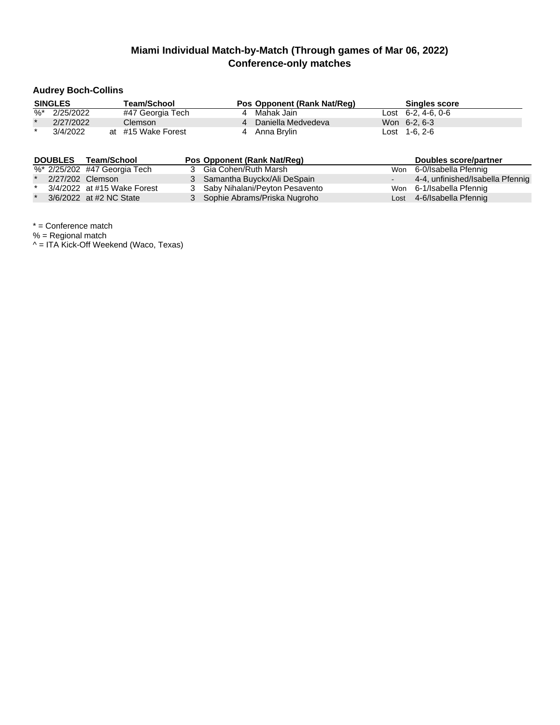### **Audrey Boch-Collins**

|         | <b>SINGLES</b> | <b>Team/School</b> | Pos Opponent (Rank Nat/Reg) | <b>Singles score</b>            |  |
|---------|----------------|--------------------|-----------------------------|---------------------------------|--|
| %*      | 2/25/2022      | #47 Georgia Tech   | 4 Mahak Jain                | $\text{Last} \quad 6-2.4-6.0-6$ |  |
| $\star$ | 2/27/2022      | <b>Clemson</b>     | 4 Daniella Medvedeva        | Won 6-2, 6-3                    |  |
| $\star$ | 3/4/2022       | at #15 Wake Forest | 4 Anna Brylin               | $\text{Cost}$ 1-6, 2-6          |  |

| <b>DOUBLES</b> | Team/School                  | Pos Opponent (Rank Nat/Req)      | Doubles score/partner            |
|----------------|------------------------------|----------------------------------|----------------------------------|
|                | %* 2/25/202 #47 Georgia Tech | 3 Gia Cohen/Ruth Marsh           | Won 6-0/Isabella Pfennig         |
|                | 2/27/202 Clemson             | 3 Samantha Buyckx/Ali DeSpain    | 4-4, unfinished/Isabella Pfennig |
|                | 3/4/2022 at #15 Wake Forest  | 3 Saby Nihalani/Peyton Pesavento | Won 6-1/Isabella Pfennig         |
|                | 3/6/2022 at #2 NC State      | 3 Sophie Abrams/Priska Nugroho   | Lost 4-6/Isabella Pfennig        |

\* = Conference match

% = Regional match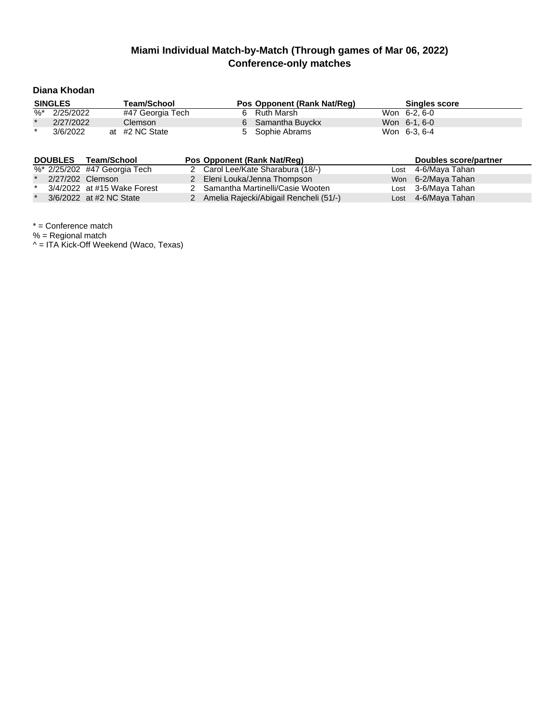### **Diana Khodan**

|         | <b>SINGLES</b> | Team/School      |  | Pos Opponent (Rank Nat/Reg) | <b>Singles score</b> |  |
|---------|----------------|------------------|--|-----------------------------|----------------------|--|
| %*      | 2/25/2022      | #47 Georgia Tech |  | 6 Ruth Marsh                | Won 6-2, 6-0         |  |
| $\star$ | 2/27/2022      | Clemson          |  | 6 Samantha Buyckx           | Won 6-1, 6-0         |  |
| $\star$ | 3/6/2022       | at #2 NC State   |  | 5 Sophie Abrams             | Won 6-3, 6-4         |  |

|         | <b>DOUBLES</b> | Team/School                  | Pos Opponent (Rank Nat/Reg)              | Doubles score/partner |
|---------|----------------|------------------------------|------------------------------------------|-----------------------|
|         |                | %* 2/25/202 #47 Georgia Tech | 2 Carol Lee/Kate Sharabura (18/-)        | Lost 4-6/Maya Tahan   |
| $\star$ |                | 2/27/202 Clemson             | 2 Eleni Louka/Jenna Thompson             | Won 6-2/Maya Tahan    |
| $\star$ |                | 3/4/2022 at #15 Wake Forest  | 2 Samantha Martinelli/Casie Wooten       | Lost 3-6/Maya Tahan   |
|         |                | 3/6/2022 at #2 NC State      | 2 Amelia Rajecki/Abigail Rencheli (51/-) | Lost 4-6/Maya Tahan   |

\* = Conference match

% = Regional match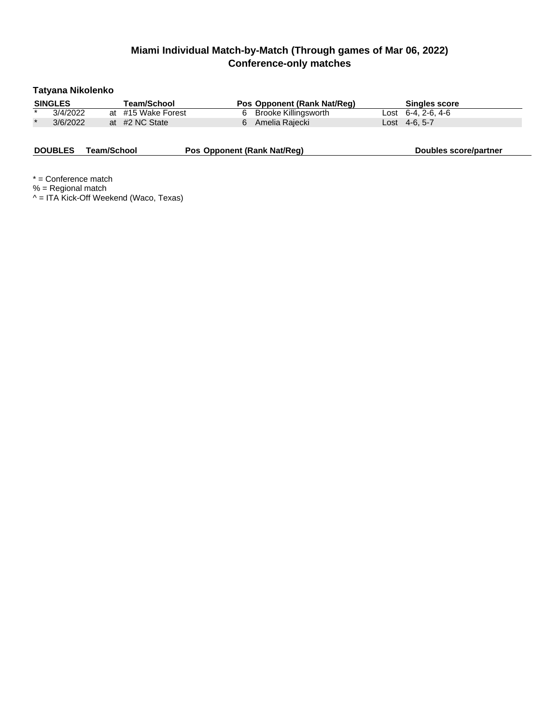### **Tatyana Nikolenko**

|         | <b>SINGLES</b> | Team/School        | Pos Opponent (Rank Nat/Reg) | <b>Singles score</b>   |  |
|---------|----------------|--------------------|-----------------------------|------------------------|--|
| $\star$ | 3/4/2022       | at #15 Wake Forest | 6 Brooke Killingsworth      | Lost $6-4$ , 2-6, 4-6  |  |
|         | 3/6/2022       | at #2 NC State     | Amelia Rajecki              | $\text{Cost}$ 4-6, 5-7 |  |

**DOUBLES Team/School <b>Pos Opponent** (Rank Nat/Reg) **Doubles** score/partner

\* = Conference match % = Regional match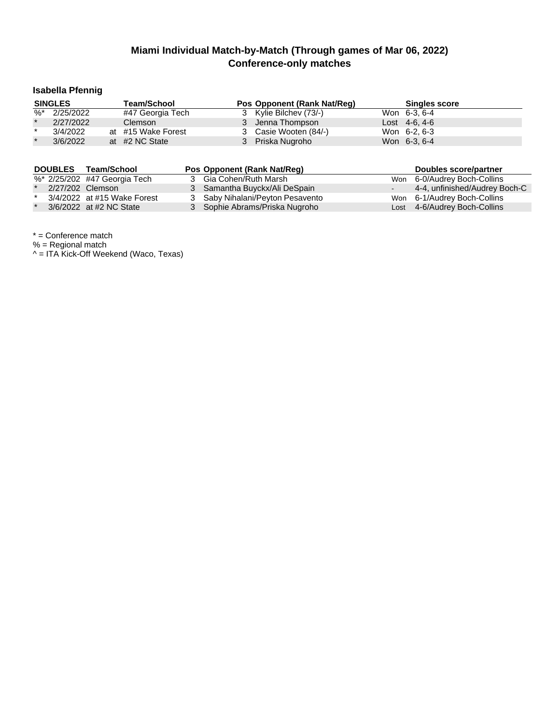### **Isabella Pfennig**

|          | <b>SINGLES</b> | <b>Team/School</b> | Pos Opponent (Rank Nat/Reg) | <b>Singles score</b> |  |
|----------|----------------|--------------------|-----------------------------|----------------------|--|
| $\%^{*}$ | 2/25/2022      | #47 Georgia Tech   | 3 Kylie Bilchev (73/-)      | Won 6-3, 6-4         |  |
| $\star$  | 2/27/2022      | <b>Clemson</b>     | 3 Jenna Thompson            | $Last 4-6, 4-6$      |  |
| $\star$  | 3/4/2022       | at #15 Wake Forest | 3 Casie Wooten (84/-)       | Won 6-2, 6-3         |  |
| $\star$  | 3/6/2022       | at #2 NC State     | 3 Priska Nugroho            | Won 6-3, 6-4         |  |

| <b>DOUBLES</b> | Team/School                  | Pos Opponent (Rank Nat/Req)      | Doubles score/partner         |
|----------------|------------------------------|----------------------------------|-------------------------------|
|                | %* 2/25/202 #47 Georgia Tech | 3 Gia Cohen/Ruth Marsh           | Won 6-0/Audrey Boch-Collins   |
|                | 2/27/202 Clemson             | 3 Samantha Buyckx/Ali DeSpain    | 4-4, unfinished/Audrey Boch-C |
|                | 3/4/2022 at #15 Wake Forest  | 3 Saby Nihalani/Peyton Pesavento | Won 6-1/Audrey Boch-Collins   |
|                | 3/6/2022 at #2 NC State      | 3 Sophie Abrams/Priska Nugroho   | Lost 4-6/Audrey Boch-Collins  |

\* = Conference match

% = Regional match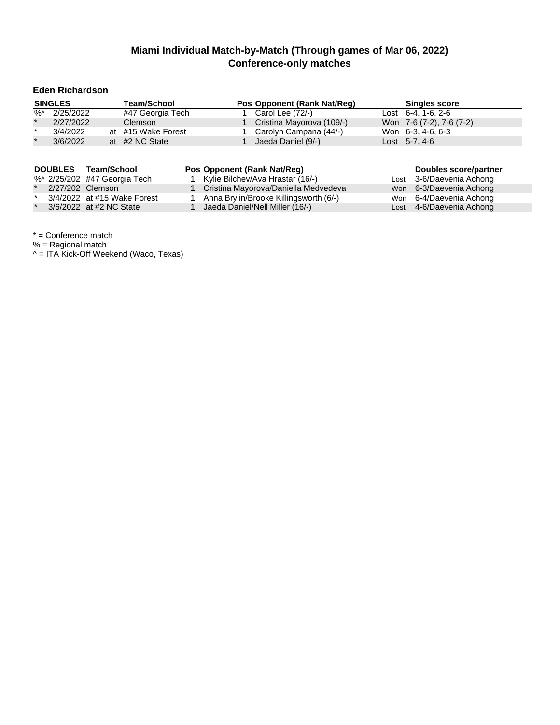### **Eden Richardson**

| <b>SINGLES</b> |           | <b>Team/School</b> |                    | Pos Opponent (Rank Nat/Reg) | <b>Singles score</b>     |  |  |
|----------------|-----------|--------------------|--------------------|-----------------------------|--------------------------|--|--|
| %*             | 2/25/2022 |                    | #47 Georgia Tech   | Carol Lee (72/-)            | Lost $6-4$ , 1-6, 2-6    |  |  |
| $\star$        | 2/27/2022 |                    | <b>Clemson</b>     | Cristina Mayorova (109/-)   | Won 7-6 (7-2), 7-6 (7-2) |  |  |
| $\star$        | 3/4/2022  |                    | at #15 Wake Forest | Carolyn Campana (44/-)      | Won 6-3, 4-6, 6-3        |  |  |
| $\star$        | 3/6/2022  |                    | at #2 NC State     | Jaeda Daniel (9/-)          | Lost $5-7, 4-6$          |  |  |

| <b>DOUBLES</b> | Team/School                  | Pos Opponent (Rank Nat/Reg)            | Doubles score/partner    |
|----------------|------------------------------|----------------------------------------|--------------------------|
|                | %* 2/25/202 #47 Georgia Tech | Kylie Bilchev/Ava Hrastar (16/-)       | Lost 3-6/Daevenia Achong |
|                | 2/27/202 Clemson             | Cristina Mayorova/Daniella Medvedeva   | Won 6-3/Daevenia Achong  |
|                | 3/4/2022 at #15 Wake Forest  | Anna Brylin/Brooke Killingsworth (6/-) | Won 6-4/Daevenia Achong  |
|                | 3/6/2022 at #2 NC State      | Jaeda Daniel/Nell Miller (16/-)        | Lost 4-6/Daevenia Achong |

\* = Conference match

% = Regional match